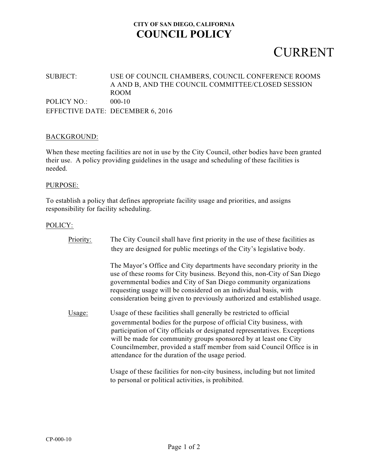### **CITY OF SAN DIEGO, CALIFORNIA COUNCIL POLICY**

## CURRENT

### SUBJECT: USE OF COUNCIL CHAMBERS, COUNCIL CONFERENCE ROOMS A AND B, AND THE COUNCIL COMMITTEE/CLOSED SESSION ROOM POLICY NO.: 000-10 EFFECTIVE DATE: DECEMBER 6, 2016

#### BACKGROUND:

When these meeting facilities are not in use by the City Council, other bodies have been granted their use. A policy providing guidelines in the usage and scheduling of these facilities is needed.

#### PURPOSE:

To establish a policy that defines appropriate facility usage and priorities, and assigns responsibility for facility scheduling.

#### POLICY:

| Priority: | The City Council shall have first priority in the use of these facilities as<br>they are designed for public meetings of the City's legislative body.                                                                                                                                                                                                                                                                    |
|-----------|--------------------------------------------------------------------------------------------------------------------------------------------------------------------------------------------------------------------------------------------------------------------------------------------------------------------------------------------------------------------------------------------------------------------------|
|           | The Mayor's Office and City departments have secondary priority in the<br>use of these rooms for City business. Beyond this, non-City of San Diego<br>governmental bodies and City of San Diego community organizations<br>requesting usage will be considered on an individual basis, with<br>consideration being given to previously authorized and established usage.                                                 |
| Usage:    | Usage of these facilities shall generally be restricted to official<br>governmental bodies for the purpose of official City business, with<br>participation of City officials or designated representatives. Exceptions<br>will be made for community groups sponsored by at least one City<br>Councilmember, provided a staff member from said Council Office is in<br>attendance for the duration of the usage period. |
|           | Usage of these facilities for non-city business, including but not limited                                                                                                                                                                                                                                                                                                                                               |

to personal or political activities, is prohibited.